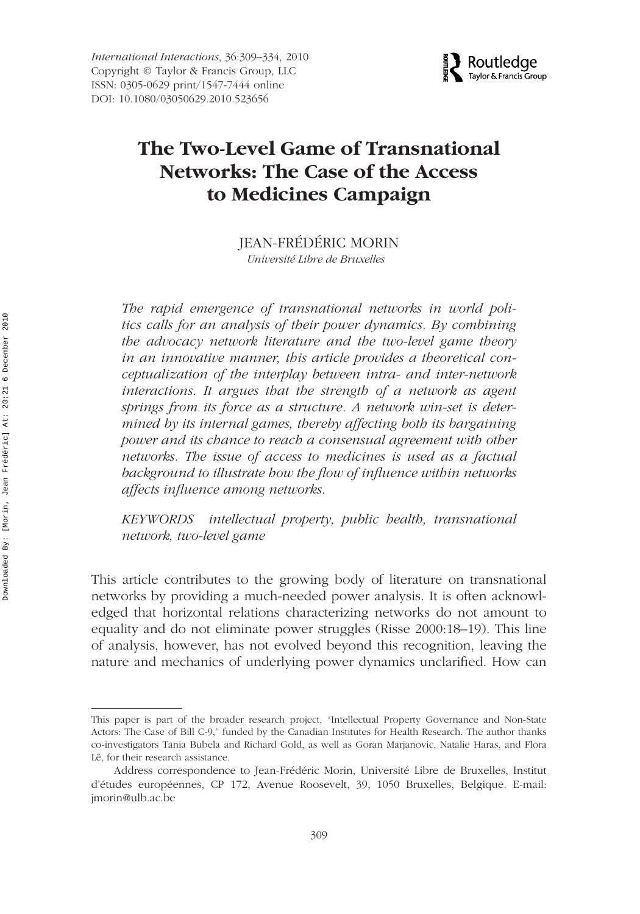*International Interactions*, 36:309–334, 2010 Copyright © Taylor & Francis Group, LLC ISSN: 0305-0629 print/1547-7444 online DOI: 10.1080/03050629.2010.523656



# **The Two-Level Game of Transnational Networks: The Case of the Access to Medicines Campaign**

JEAN-FRÉDÉRIC MORIN *Université Libre de Bruxelles*

*The rapid emergence of transnational networks in world politics calls for an analysis of their power dynamics. By combining the advocacy network literature and the two-level game theory in an innovative manner, this article provides a theoretical conceptualization of the interplay between intra- and inter-network interactions. It argues that the strength of a network as agent springs from its force as a structure. A network win-set is determined by its internal games, thereby affecting both its bargaining power and its chance to reach a consensual agreement with other networks. The issue of access to medicines is used as a factual background to illustrate how the flow of influence within networks affects influence among networks.*

*KEYWORDS intellectual property, public health, transnational network, two-level game*

This article contributes to the growing body of literature on transnational networks by providing a much-needed power analysis. It is often acknowledged that horizontal relations characterizing networks do not amount to equality and do not eliminate power struggles (Risse 2000:18–19). This line of analysis, however, has not evolved beyond this recognition, leaving the nature and mechanics of underlying power dynamics unclarified. How can

This paper is part of the broader research project, "Intellectual Property Governance and Non-State Actors: The Case of Bill C-9," funded by the Canadian Institutes for Health Research. The author thanks co-investigators Tania Bubela and Richard Gold, as well as Goran Marjanovic, Natalie Haras, and Flora Lê, for their research assistance.

Address correspondence to Jean-Frédéric Morin, Université Libre de Bruxelles, Institut d'études européennes, CP 172, Avenue Roosevelt, 39, 1050 Bruxelles, Belgique. E-mail: jmorin@ulb.ac.be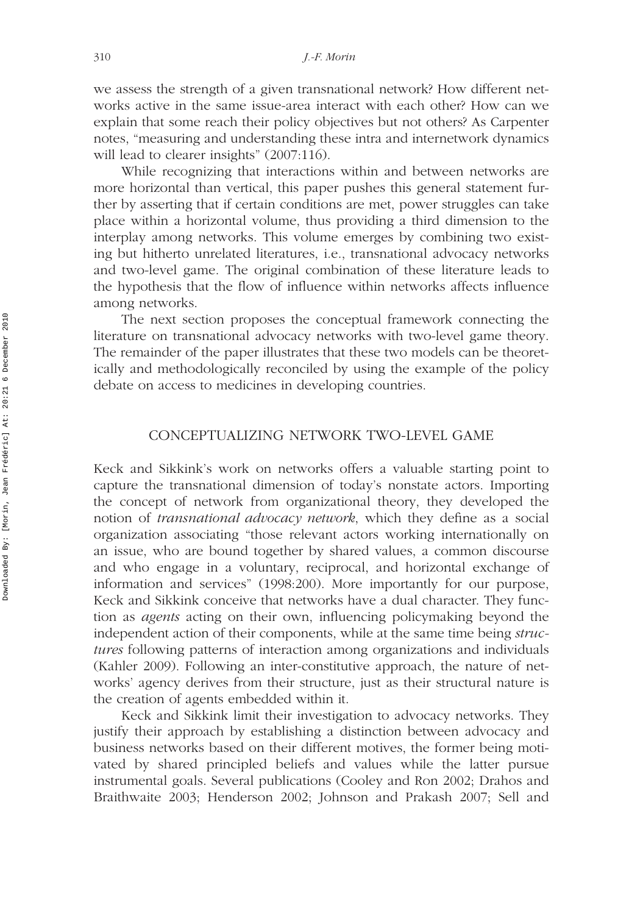we assess the strength of a given transnational network? How different networks active in the same issue-area interact with each other? How can we explain that some reach their policy objectives but not others? As Carpenter notes, "measuring and understanding these intra and internetwork dynamics will lead to clearer insights" (2007:116).

While recognizing that interactions within and between networks are more horizontal than vertical, this paper pushes this general statement further by asserting that if certain conditions are met, power struggles can take place within a horizontal volume, thus providing a third dimension to the interplay among networks. This volume emerges by combining two existing but hitherto unrelated literatures, i.e., transnational advocacy networks and two-level game. The original combination of these literature leads to the hypothesis that the flow of influence within networks affects influence among networks.

The next section proposes the conceptual framework connecting the literature on transnational advocacy networks with two-level game theory. The remainder of the paper illustrates that these two models can be theoretically and methodologically reconciled by using the example of the policy debate on access to medicines in developing countries.

### CONCEPTUALIZING NETWORK TWO-LEVEL GAME

Keck and Sikkink's work on networks offers a valuable starting point to capture the transnational dimension of today's nonstate actors. Importing the concept of network from organizational theory, they developed the notion of *transnational advocacy network*, which they define as a social organization associating "those relevant actors working internationally on an issue, who are bound together by shared values, a common discourse and who engage in a voluntary, reciprocal, and horizontal exchange of information and services" (1998:200). More importantly for our purpose, Keck and Sikkink conceive that networks have a dual character. They function as *agents* acting on their own, influencing policymaking beyond the independent action of their components, while at the same time being *structures* following patterns of interaction among organizations and individuals (Kahler 2009). Following an inter-constitutive approach, the nature of networks' agency derives from their structure, just as their structural nature is the creation of agents embedded within it.

Keck and Sikkink limit their investigation to advocacy networks. They justify their approach by establishing a distinction between advocacy and business networks based on their different motives, the former being motivated by shared principled beliefs and values while the latter pursue instrumental goals. Several publications (Cooley and Ron 2002; Drahos and Braithwaite 2003; Henderson 2002; Johnson and Prakash 2007; Sell and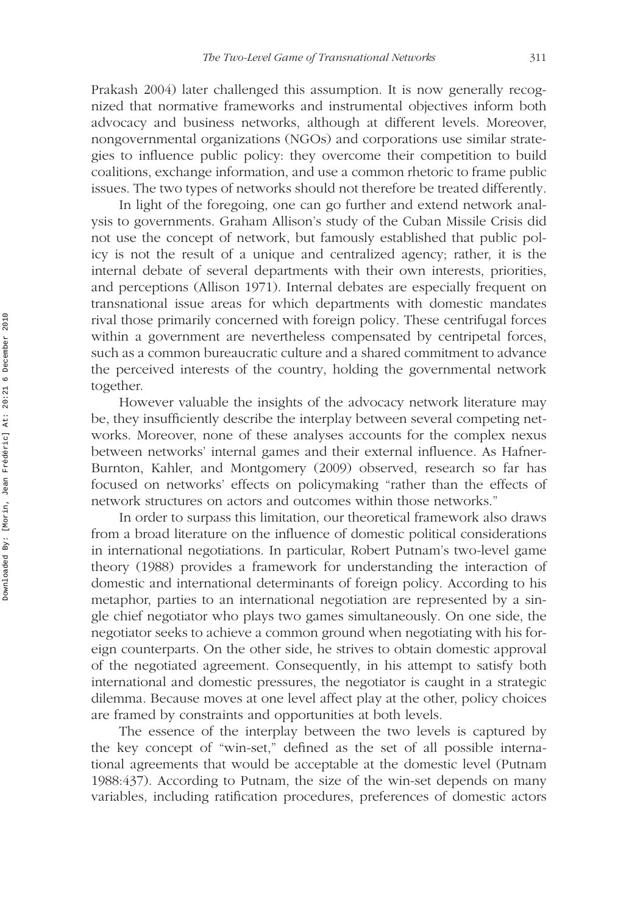Prakash 2004) later challenged this assumption. It is now generally recognized that normative frameworks and instrumental objectives inform both advocacy and business networks, although at different levels. Moreover, nongovernmental organizations (NGOs) and corporations use similar strategies to influence public policy: they overcome their competition to build coalitions, exchange information, and use a common rhetoric to frame public issues. The two types of networks should not therefore be treated differently.

In light of the foregoing, one can go further and extend network analysis to governments. Graham Allison's study of the Cuban Missile Crisis did not use the concept of network, but famously established that public policy is not the result of a unique and centralized agency; rather, it is the internal debate of several departments with their own interests, priorities, and perceptions (Allison 1971). Internal debates are especially frequent on transnational issue areas for which departments with domestic mandates rival those primarily concerned with foreign policy. These centrifugal forces within a government are nevertheless compensated by centripetal forces, such as a common bureaucratic culture and a shared commitment to advance the perceived interests of the country, holding the governmental network together.

However valuable the insights of the advocacy network literature may be, they insufficiently describe the interplay between several competing networks. Moreover, none of these analyses accounts for the complex nexus between networks' internal games and their external influence. As Hafner-Burnton, Kahler, and Montgomery (2009) observed, research so far has focused on networks' effects on policymaking "rather than the effects of network structures on actors and outcomes within those networks."

In order to surpass this limitation, our theoretical framework also draws from a broad literature on the influence of domestic political considerations in international negotiations. In particular, Robert Putnam's two-level game theory (1988) provides a framework for understanding the interaction of domestic and international determinants of foreign policy. According to his metaphor, parties to an international negotiation are represented by a single chief negotiator who plays two games simultaneously. On one side, the negotiator seeks to achieve a common ground when negotiating with his foreign counterparts. On the other side, he strives to obtain domestic approval of the negotiated agreement. Consequently, in his attempt to satisfy both international and domestic pressures, the negotiator is caught in a strategic dilemma. Because moves at one level affect play at the other, policy choices are framed by constraints and opportunities at both levels.

The essence of the interplay between the two levels is captured by the key concept of "win-set," defined as the set of all possible international agreements that would be acceptable at the domestic level (Putnam 1988:437). According to Putnam, the size of the win-set depends on many variables, including ratification procedures, preferences of domestic actors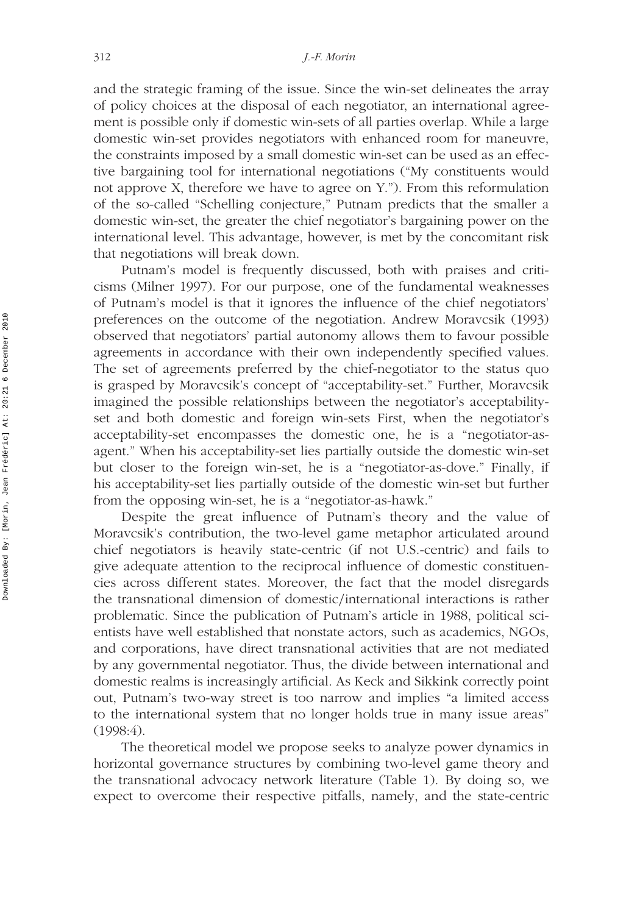and the strategic framing of the issue. Since the win-set delineates the array of policy choices at the disposal of each negotiator, an international agreement is possible only if domestic win-sets of all parties overlap. While a large domestic win-set provides negotiators with enhanced room for maneuvre, the constraints imposed by a small domestic win-set can be used as an effective bargaining tool for international negotiations ("My constituents would not approve X, therefore we have to agree on Y."). From this reformulation of the so-called "Schelling conjecture," Putnam predicts that the smaller a domestic win-set, the greater the chief negotiator's bargaining power on the international level. This advantage, however, is met by the concomitant risk that negotiations will break down.

Putnam's model is frequently discussed, both with praises and criticisms (Milner 1997). For our purpose, one of the fundamental weaknesses of Putnam's model is that it ignores the influence of the chief negotiators' preferences on the outcome of the negotiation. Andrew Moravcsik (1993) observed that negotiators' partial autonomy allows them to favour possible agreements in accordance with their own independently specified values. The set of agreements preferred by the chief-negotiator to the status quo is grasped by Moravcsik's concept of "acceptability-set." Further, Moravcsik imagined the possible relationships between the negotiator's acceptabilityset and both domestic and foreign win-sets First, when the negotiator's acceptability-set encompasses the domestic one, he is a "negotiator-asagent." When his acceptability-set lies partially outside the domestic win-set but closer to the foreign win-set, he is a "negotiator-as-dove." Finally, if his acceptability-set lies partially outside of the domestic win-set but further from the opposing win-set, he is a "negotiator-as-hawk."

Despite the great influence of Putnam's theory and the value of Moravcsik's contribution, the two-level game metaphor articulated around chief negotiators is heavily state-centric (if not U.S.-centric) and fails to give adequate attention to the reciprocal influence of domestic constituencies across different states. Moreover, the fact that the model disregards the transnational dimension of domestic/international interactions is rather problematic. Since the publication of Putnam's article in 1988, political scientists have well established that nonstate actors, such as academics, NGOs, and corporations, have direct transnational activities that are not mediated by any governmental negotiator. Thus, the divide between international and domestic realms is increasingly artificial. As Keck and Sikkink correctly point out, Putnam's two-way street is too narrow and implies "a limited access to the international system that no longer holds true in many issue areas" (1998:4).

The theoretical model we propose seeks to analyze power dynamics in horizontal governance structures by combining two-level game theory and the transnational advocacy network literature (Table 1). By doing so, we expect to overcome their respective pitfalls, namely, and the state-centric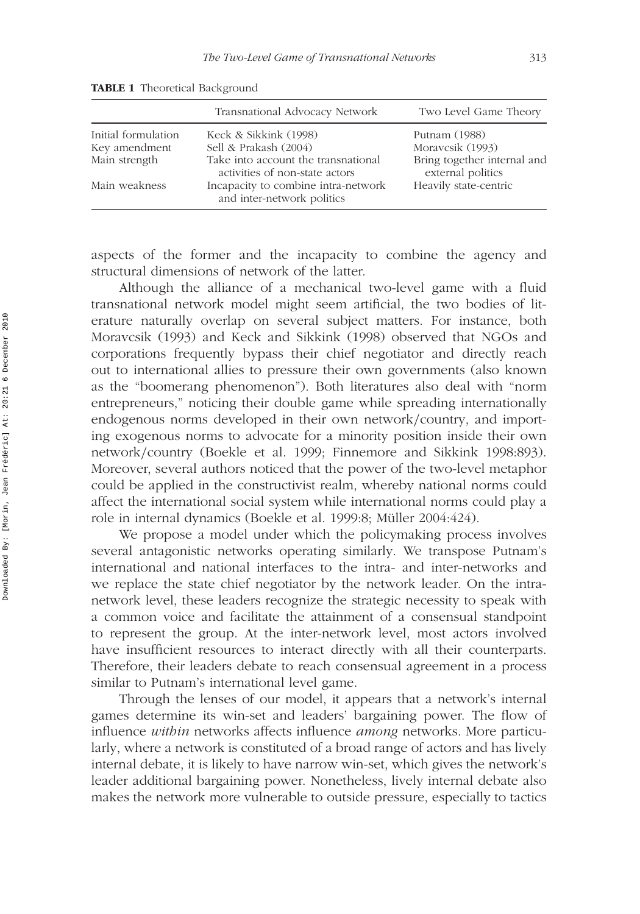|                     | Transnational Advocacy Network                                        | Two Level Game Theory                            |
|---------------------|-----------------------------------------------------------------------|--------------------------------------------------|
| Initial formulation | Keck & Sikkink (1998)                                                 | Putnam (1988)                                    |
| Key amendment       | Sell & Prakash (2004)                                                 | Moravcsik (1993)                                 |
| Main strength       | Take into account the transnational<br>activities of non-state actors | Bring together internal and<br>external politics |
| Main weakness       | Incapacity to combine intra-network<br>and inter-network politics     | Heavily state-centric                            |

**TABLE 1** Theoretical Background

aspects of the former and the incapacity to combine the agency and structural dimensions of network of the latter.

Although the alliance of a mechanical two-level game with a fluid transnational network model might seem artificial, the two bodies of literature naturally overlap on several subject matters. For instance, both Moravcsik (1993) and Keck and Sikkink (1998) observed that NGOs and corporations frequently bypass their chief negotiator and directly reach out to international allies to pressure their own governments (also known as the "boomerang phenomenon"). Both literatures also deal with "norm entrepreneurs," noticing their double game while spreading internationally endogenous norms developed in their own network/country, and importing exogenous norms to advocate for a minority position inside their own network/country (Boekle et al. 1999; Finnemore and Sikkink 1998:893). Moreover, several authors noticed that the power of the two-level metaphor could be applied in the constructivist realm, whereby national norms could affect the international social system while international norms could play a role in internal dynamics (Boekle et al. 1999:8; Müller 2004:424).

We propose a model under which the policymaking process involves several antagonistic networks operating similarly. We transpose Putnam's international and national interfaces to the intra- and inter-networks and we replace the state chief negotiator by the network leader. On the intranetwork level, these leaders recognize the strategic necessity to speak with a common voice and facilitate the attainment of a consensual standpoint to represent the group. At the inter-network level, most actors involved have insufficient resources to interact directly with all their counterparts. Therefore, their leaders debate to reach consensual agreement in a process similar to Putnam's international level game.

Through the lenses of our model, it appears that a network's internal games determine its win-set and leaders' bargaining power. The flow of influence *within* networks affects influence *among* networks. More particularly, where a network is constituted of a broad range of actors and has lively internal debate, it is likely to have narrow win-set, which gives the network's leader additional bargaining power. Nonetheless, lively internal debate also makes the network more vulnerable to outside pressure, especially to tactics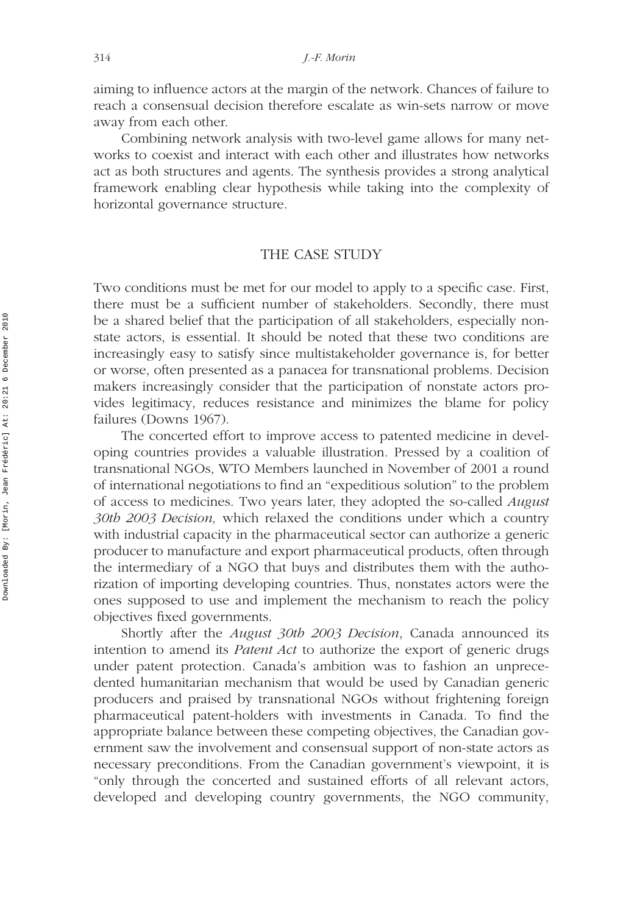aiming to influence actors at the margin of the network. Chances of failure to reach a consensual decision therefore escalate as win-sets narrow or move away from each other.

Combining network analysis with two-level game allows for many networks to coexist and interact with each other and illustrates how networks act as both structures and agents. The synthesis provides a strong analytical framework enabling clear hypothesis while taking into the complexity of horizontal governance structure.

# THE CASE STUDY

Two conditions must be met for our model to apply to a specific case. First, there must be a sufficient number of stakeholders. Secondly, there must be a shared belief that the participation of all stakeholders, especially nonstate actors, is essential. It should be noted that these two conditions are increasingly easy to satisfy since multistakeholder governance is, for better or worse, often presented as a panacea for transnational problems. Decision makers increasingly consider that the participation of nonstate actors provides legitimacy, reduces resistance and minimizes the blame for policy failures (Downs 1967).

The concerted effort to improve access to patented medicine in developing countries provides a valuable illustration. Pressed by a coalition of transnational NGOs, WTO Members launched in November of 2001 a round of international negotiations to find an "expeditious solution" to the problem of access to medicines. Two years later, they adopted the so-called *August 30th 2003 Decision,* which relaxed the conditions under which a country with industrial capacity in the pharmaceutical sector can authorize a generic producer to manufacture and export pharmaceutical products, often through the intermediary of a NGO that buys and distributes them with the authorization of importing developing countries. Thus, nonstates actors were the ones supposed to use and implement the mechanism to reach the policy objectives fixed governments.

Shortly after the *August 30th 2003 Decision*, Canada announced its intention to amend its *Patent Act* to authorize the export of generic drugs under patent protection. Canada's ambition was to fashion an unprecedented humanitarian mechanism that would be used by Canadian generic producers and praised by transnational NGOs without frightening foreign pharmaceutical patent-holders with investments in Canada. To find the appropriate balance between these competing objectives, the Canadian government saw the involvement and consensual support of non-state actors as necessary preconditions. From the Canadian government's viewpoint, it is "only through the concerted and sustained efforts of all relevant actors, developed and developing country governments, the NGO community,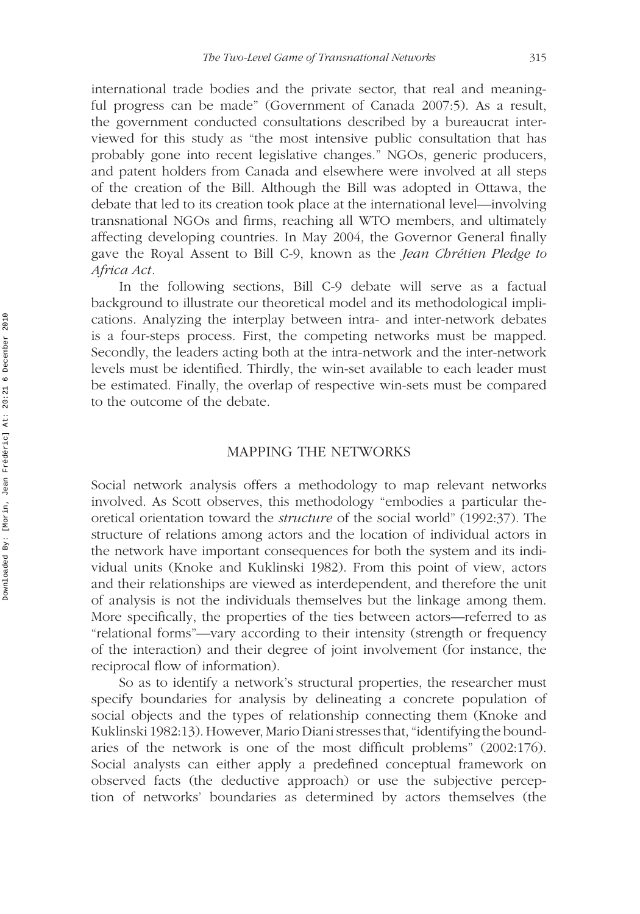international trade bodies and the private sector, that real and meaningful progress can be made" (Government of Canada 2007:5). As a result, the government conducted consultations described by a bureaucrat interviewed for this study as "the most intensive public consultation that has probably gone into recent legislative changes." NGOs, generic producers, and patent holders from Canada and elsewhere were involved at all steps of the creation of the Bill. Although the Bill was adopted in Ottawa, the debate that led to its creation took place at the international level—involving transnational NGOs and firms, reaching all WTO members, and ultimately affecting developing countries. In May 2004, the Governor General finally gave the Royal Assent to Bill C-9, known as the *Jean Chrétien Pledge to Africa Act*.

In the following sections, Bill C-9 debate will serve as a factual background to illustrate our theoretical model and its methodological implications. Analyzing the interplay between intra- and inter-network debates is a four-steps process. First, the competing networks must be mapped. Secondly, the leaders acting both at the intra-network and the inter-network levels must be identified. Thirdly, the win-set available to each leader must be estimated. Finally, the overlap of respective win-sets must be compared to the outcome of the debate.

# MAPPING THE NETWORKS

Social network analysis offers a methodology to map relevant networks involved. As Scott observes, this methodology "embodies a particular theoretical orientation toward the *structure* of the social world" (1992:37). The structure of relations among actors and the location of individual actors in the network have important consequences for both the system and its individual units (Knoke and Kuklinski 1982). From this point of view, actors and their relationships are viewed as interdependent, and therefore the unit of analysis is not the individuals themselves but the linkage among them. More specifically, the properties of the ties between actors—referred to as "relational forms"—vary according to their intensity (strength or frequency of the interaction) and their degree of joint involvement (for instance, the reciprocal flow of information).

So as to identify a network's structural properties, the researcher must specify boundaries for analysis by delineating a concrete population of social objects and the types of relationship connecting them (Knoke and Kuklinski 1982:13). However, Mario Diani stresses that, "identifying the boundaries of the network is one of the most difficult problems" (2002:176). Social analysts can either apply a predefined conceptual framework on observed facts (the deductive approach) or use the subjective perception of networks' boundaries as determined by actors themselves (the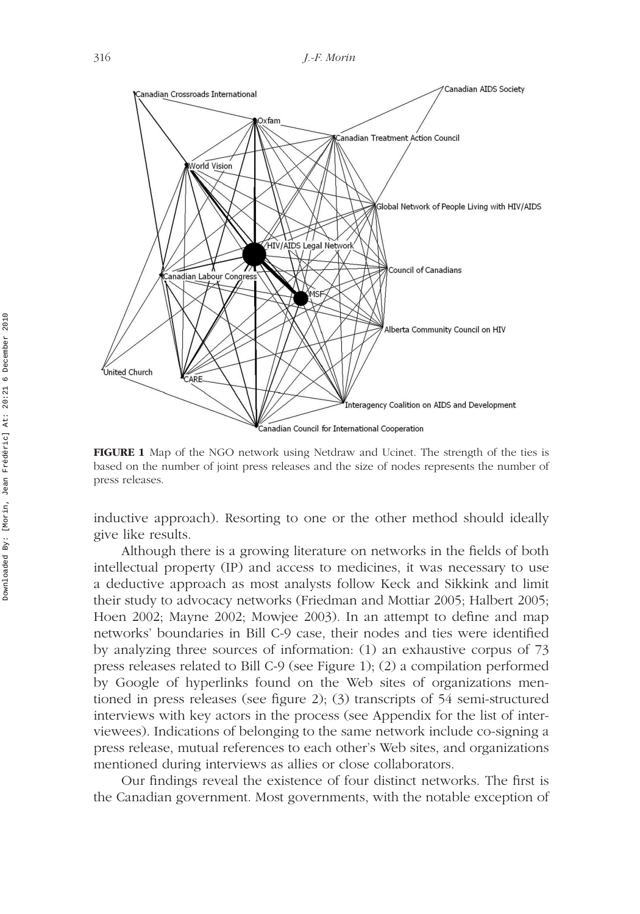

**FIGURE 1** Map of the NGO network using Netdraw and Ucinet. The strength of the ties is based on the number of joint press releases and the size of nodes represents the number of press releases.

inductive approach). Resorting to one or the other method should ideally give like results.

Although there is a growing literature on networks in the fields of both intellectual property (IP) and access to medicines, it was necessary to use a deductive approach as most analysts follow Keck and Sikkink and limit their study to advocacy networks (Friedman and Mottiar 2005; Halbert 2005; Hoen 2002; Mayne 2002; Mowjee 2003). In an attempt to define and map networks' boundaries in Bill C-9 case, their nodes and ties were identified by analyzing three sources of information: (1) an exhaustive corpus of 73 press releases related to Bill C-9 (see Figure 1); (2) a compilation performed by Google of hyperlinks found on the Web sites of organizations mentioned in press releases (see figure 2); (3) transcripts of 54 semi-structured interviews with key actors in the process (see Appendix for the list of interviewees). Indications of belonging to the same network include co-signing a press release, mutual references to each other's Web sites, and organizations mentioned during interviews as allies or close collaborators.

Our findings reveal the existence of four distinct networks. The first is the Canadian government. Most governments, with the notable exception of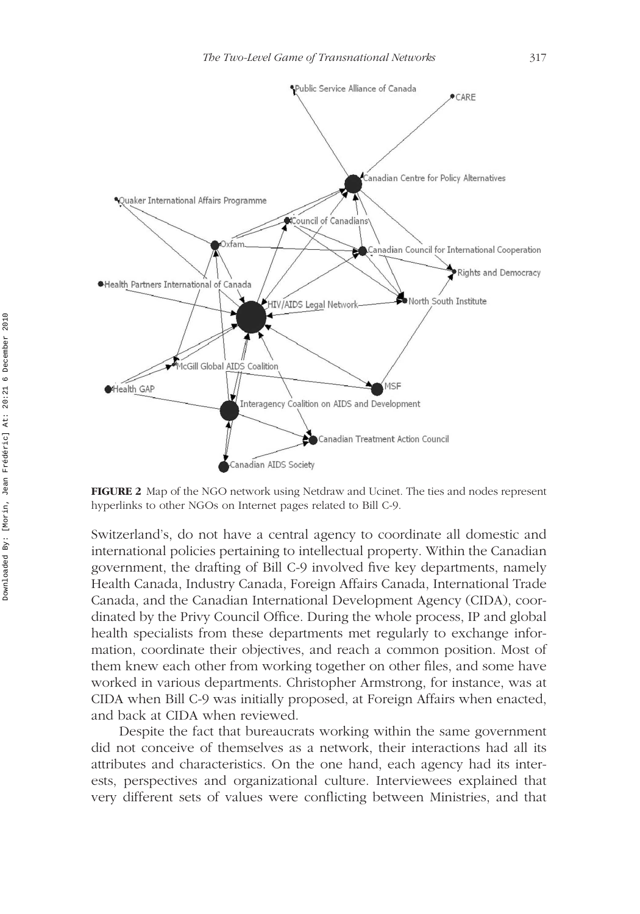

**FIGURE 2** Map of the NGO network using Netdraw and Ucinet. The ties and nodes represent hyperlinks to other NGOs on Internet pages related to Bill C-9.

Switzerland's, do not have a central agency to coordinate all domestic and international policies pertaining to intellectual property. Within the Canadian government, the drafting of Bill C-9 involved five key departments, namely Health Canada, Industry Canada, Foreign Affairs Canada, International Trade Canada, and the Canadian International Development Agency (CIDA), coordinated by the Privy Council Office. During the whole process, IP and global health specialists from these departments met regularly to exchange information, coordinate their objectives, and reach a common position. Most of them knew each other from working together on other files, and some have worked in various departments. Christopher Armstrong, for instance, was at CIDA when Bill C-9 was initially proposed, at Foreign Affairs when enacted, and back at CIDA when reviewed.

Despite the fact that bureaucrats working within the same government did not conceive of themselves as a network, their interactions had all its attributes and characteristics. On the one hand, each agency had its interests, perspectives and organizational culture. Interviewees explained that very different sets of values were conflicting between Ministries, and that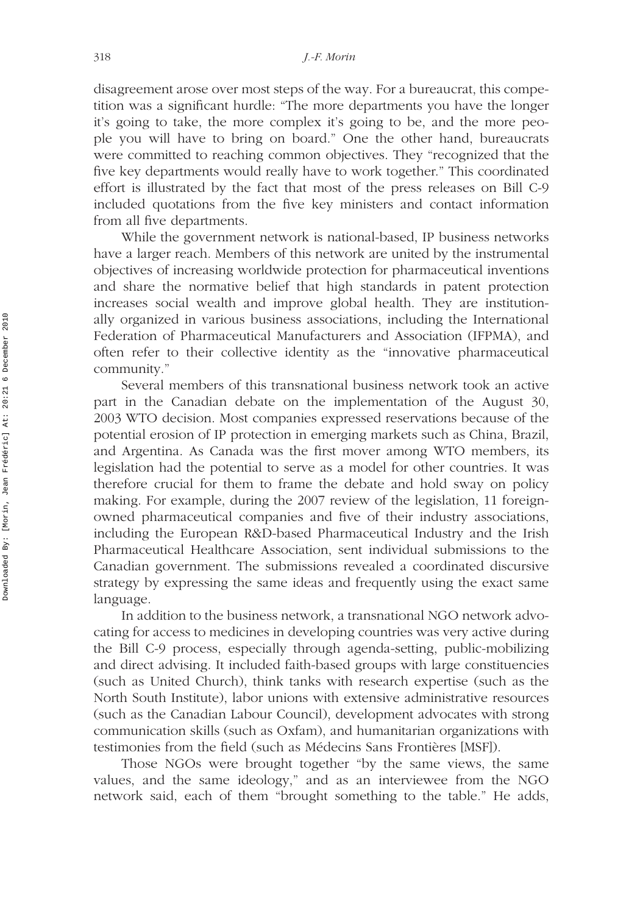disagreement arose over most steps of the way. For a bureaucrat, this competition was a significant hurdle: "The more departments you have the longer it's going to take, the more complex it's going to be, and the more people you will have to bring on board." One the other hand, bureaucrats were committed to reaching common objectives. They "recognized that the five key departments would really have to work together." This coordinated effort is illustrated by the fact that most of the press releases on Bill C-9 included quotations from the five key ministers and contact information from all five departments.

While the government network is national-based, IP business networks have a larger reach. Members of this network are united by the instrumental objectives of increasing worldwide protection for pharmaceutical inventions and share the normative belief that high standards in patent protection increases social wealth and improve global health. They are institutionally organized in various business associations, including the International Federation of Pharmaceutical Manufacturers and Association (IFPMA), and often refer to their collective identity as the "innovative pharmaceutical community."

Several members of this transnational business network took an active part in the Canadian debate on the implementation of the August 30, 2003 WTO decision. Most companies expressed reservations because of the potential erosion of IP protection in emerging markets such as China, Brazil, and Argentina. As Canada was the first mover among WTO members, its legislation had the potential to serve as a model for other countries. It was therefore crucial for them to frame the debate and hold sway on policy making. For example, during the 2007 review of the legislation, 11 foreignowned pharmaceutical companies and five of their industry associations, including the European R&D-based Pharmaceutical Industry and the Irish Pharmaceutical Healthcare Association, sent individual submissions to the Canadian government. The submissions revealed a coordinated discursive strategy by expressing the same ideas and frequently using the exact same language.

In addition to the business network, a transnational NGO network advocating for access to medicines in developing countries was very active during the Bill C-9 process, especially through agenda-setting, public-mobilizing and direct advising. It included faith-based groups with large constituencies (such as United Church), think tanks with research expertise (such as the North South Institute), labor unions with extensive administrative resources (such as the Canadian Labour Council), development advocates with strong communication skills (such as Oxfam), and humanitarian organizations with testimonies from the field (such as Médecins Sans Frontières [MSF]).

Those NGOs were brought together "by the same views, the same values, and the same ideology," and as an interviewee from the NGO network said, each of them "brought something to the table." He adds,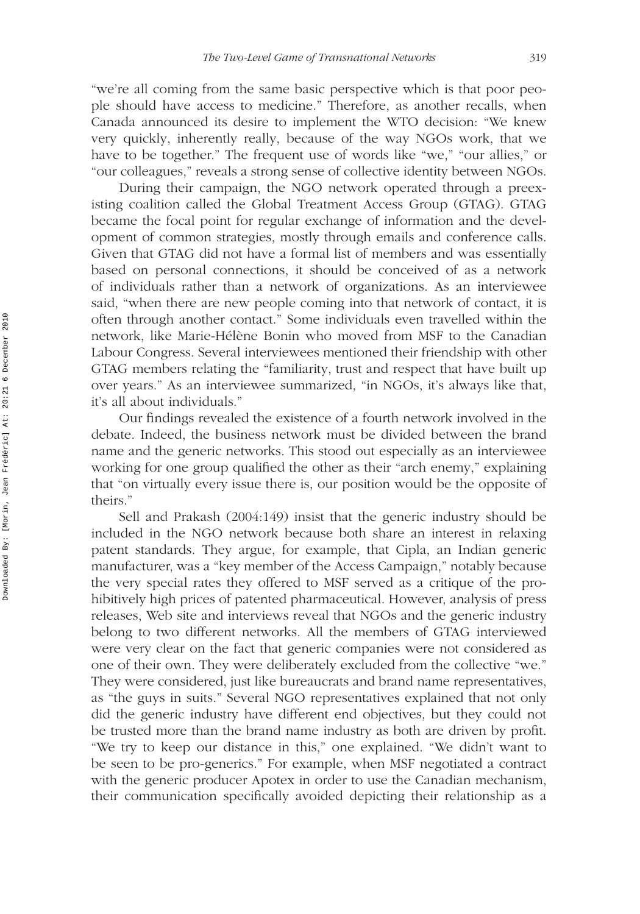"we're all coming from the same basic perspective which is that poor people should have access to medicine." Therefore, as another recalls, when Canada announced its desire to implement the WTO decision: "We knew very quickly, inherently really, because of the way NGOs work, that we have to be together." The frequent use of words like "we," "our allies," or "our colleagues," reveals a strong sense of collective identity between NGOs.

During their campaign, the NGO network operated through a preexisting coalition called the Global Treatment Access Group (GTAG). GTAG became the focal point for regular exchange of information and the development of common strategies, mostly through emails and conference calls. Given that GTAG did not have a formal list of members and was essentially based on personal connections, it should be conceived of as a network of individuals rather than a network of organizations. As an interviewee said, "when there are new people coming into that network of contact, it is often through another contact." Some individuals even travelled within the network, like Marie-Hélène Bonin who moved from MSF to the Canadian Labour Congress. Several interviewees mentioned their friendship with other GTAG members relating the "familiarity, trust and respect that have built up over years." As an interviewee summarized, "in NGOs, it's always like that, it's all about individuals."

Our findings revealed the existence of a fourth network involved in the debate. Indeed, the business network must be divided between the brand name and the generic networks. This stood out especially as an interviewee working for one group qualified the other as their "arch enemy," explaining that "on virtually every issue there is, our position would be the opposite of theirs."

Sell and Prakash (2004:149) insist that the generic industry should be included in the NGO network because both share an interest in relaxing patent standards. They argue, for example, that Cipla, an Indian generic manufacturer, was a "key member of the Access Campaign," notably because the very special rates they offered to MSF served as a critique of the prohibitively high prices of patented pharmaceutical. However, analysis of press releases, Web site and interviews reveal that NGOs and the generic industry belong to two different networks. All the members of GTAG interviewed were very clear on the fact that generic companies were not considered as one of their own. They were deliberately excluded from the collective "we." They were considered, just like bureaucrats and brand name representatives, as "the guys in suits." Several NGO representatives explained that not only did the generic industry have different end objectives, but they could not be trusted more than the brand name industry as both are driven by profit. "We try to keep our distance in this," one explained. "We didn't want to be seen to be pro-generics." For example, when MSF negotiated a contract with the generic producer Apotex in order to use the Canadian mechanism, their communication specifically avoided depicting their relationship as a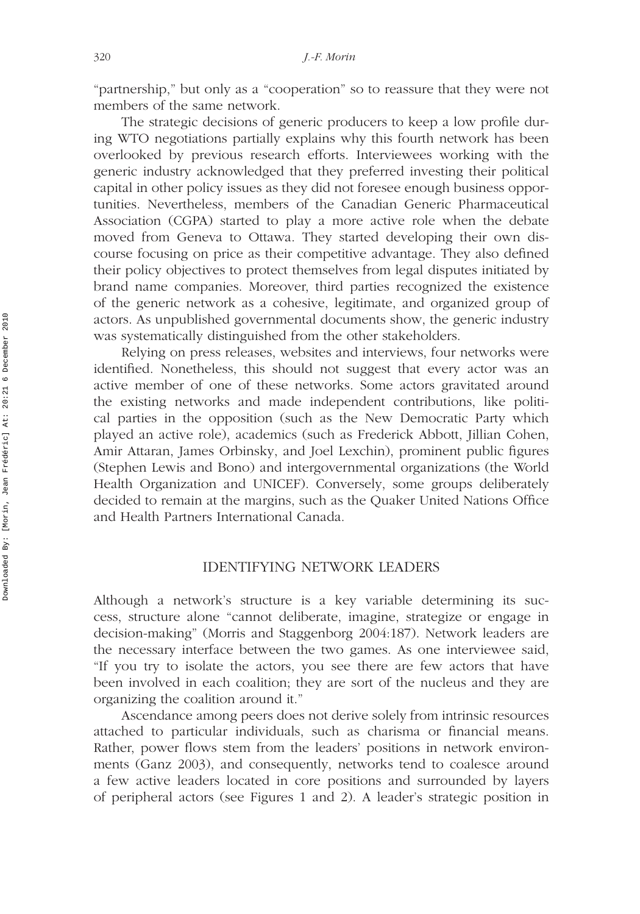"partnership," but only as a "cooperation" so to reassure that they were not members of the same network.

The strategic decisions of generic producers to keep a low profile during WTO negotiations partially explains why this fourth network has been overlooked by previous research efforts. Interviewees working with the generic industry acknowledged that they preferred investing their political capital in other policy issues as they did not foresee enough business opportunities. Nevertheless, members of the Canadian Generic Pharmaceutical Association (CGPA) started to play a more active role when the debate moved from Geneva to Ottawa. They started developing their own discourse focusing on price as their competitive advantage. They also defined their policy objectives to protect themselves from legal disputes initiated by brand name companies. Moreover, third parties recognized the existence of the generic network as a cohesive, legitimate, and organized group of actors. As unpublished governmental documents show, the generic industry was systematically distinguished from the other stakeholders.

Relying on press releases, websites and interviews, four networks were identified. Nonetheless, this should not suggest that every actor was an active member of one of these networks. Some actors gravitated around the existing networks and made independent contributions, like political parties in the opposition (such as the New Democratic Party which played an active role), academics (such as Frederick Abbott, Jillian Cohen, Amir Attaran, James Orbinsky, and Joel Lexchin), prominent public figures (Stephen Lewis and Bono) and intergovernmental organizations (the World Health Organization and UNICEF). Conversely, some groups deliberately decided to remain at the margins, such as the Quaker United Nations Office and Health Partners International Canada.

#### IDENTIFYING NETWORK LEADERS

Although a network's structure is a key variable determining its success, structure alone "cannot deliberate, imagine, strategize or engage in decision-making" (Morris and Staggenborg 2004:187). Network leaders are the necessary interface between the two games. As one interviewee said, "If you try to isolate the actors, you see there are few actors that have been involved in each coalition; they are sort of the nucleus and they are organizing the coalition around it."

Ascendance among peers does not derive solely from intrinsic resources attached to particular individuals, such as charisma or financial means. Rather, power flows stem from the leaders' positions in network environments (Ganz 2003), and consequently, networks tend to coalesce around a few active leaders located in core positions and surrounded by layers of peripheral actors (see Figures 1 and 2). A leader's strategic position in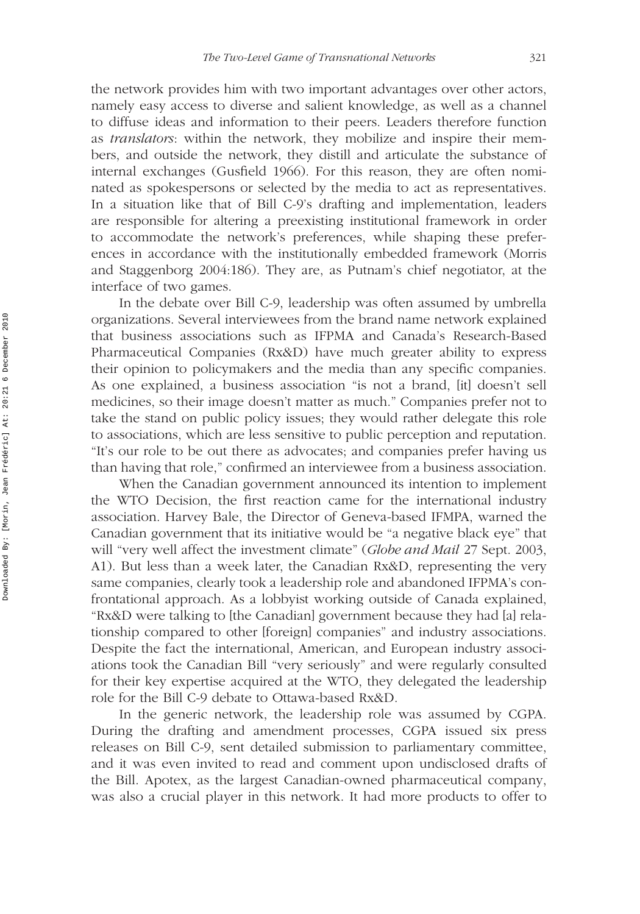the network provides him with two important advantages over other actors, namely easy access to diverse and salient knowledge, as well as a channel to diffuse ideas and information to their peers. Leaders therefore function as *translators*: within the network, they mobilize and inspire their members, and outside the network, they distill and articulate the substance of internal exchanges (Gusfield 1966). For this reason, they are often nominated as spokespersons or selected by the media to act as representatives. In a situation like that of Bill C-9's drafting and implementation, leaders are responsible for altering a preexisting institutional framework in order to accommodate the network's preferences, while shaping these preferences in accordance with the institutionally embedded framework (Morris and Staggenborg 2004:186). They are, as Putnam's chief negotiator, at the interface of two games.

In the debate over Bill C-9, leadership was often assumed by umbrella organizations. Several interviewees from the brand name network explained that business associations such as IFPMA and Canada's Research-Based Pharmaceutical Companies (Rx&D) have much greater ability to express their opinion to policymakers and the media than any specific companies. As one explained, a business association "is not a brand, [it] doesn't sell medicines, so their image doesn't matter as much." Companies prefer not to take the stand on public policy issues; they would rather delegate this role to associations, which are less sensitive to public perception and reputation. "It's our role to be out there as advocates; and companies prefer having us than having that role," confirmed an interviewee from a business association.

When the Canadian government announced its intention to implement the WTO Decision, the first reaction came for the international industry association. Harvey Bale, the Director of Geneva-based IFMPA, warned the Canadian government that its initiative would be "a negative black eye" that will "very well affect the investment climate" (*Globe and Mail* 27 Sept. 2003, A1). But less than a week later, the Canadian Rx&D, representing the very same companies, clearly took a leadership role and abandoned IFPMA's confrontational approach. As a lobbyist working outside of Canada explained, "Rx&D were talking to [the Canadian] government because they had [a] relationship compared to other [foreign] companies" and industry associations. Despite the fact the international, American, and European industry associations took the Canadian Bill "very seriously" and were regularly consulted for their key expertise acquired at the WTO, they delegated the leadership role for the Bill C-9 debate to Ottawa-based Rx&D.

In the generic network, the leadership role was assumed by CGPA. During the drafting and amendment processes, CGPA issued six press releases on Bill C-9, sent detailed submission to parliamentary committee, and it was even invited to read and comment upon undisclosed drafts of the Bill. Apotex, as the largest Canadian-owned pharmaceutical company, was also a crucial player in this network. It had more products to offer to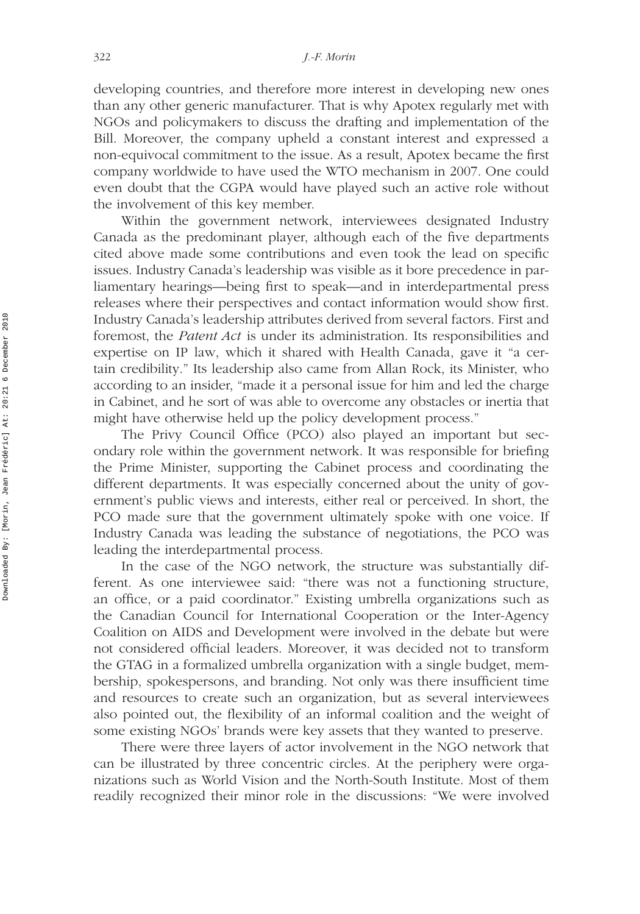developing countries, and therefore more interest in developing new ones than any other generic manufacturer. That is why Apotex regularly met with NGOs and policymakers to discuss the drafting and implementation of the Bill. Moreover, the company upheld a constant interest and expressed a non-equivocal commitment to the issue. As a result, Apotex became the first company worldwide to have used the WTO mechanism in 2007. One could even doubt that the CGPA would have played such an active role without the involvement of this key member.

Within the government network, interviewees designated Industry Canada as the predominant player, although each of the five departments cited above made some contributions and even took the lead on specific issues. Industry Canada's leadership was visible as it bore precedence in parliamentary hearings—being first to speak—and in interdepartmental press releases where their perspectives and contact information would show first. Industry Canada's leadership attributes derived from several factors. First and foremost, the *Patent Act* is under its administration. Its responsibilities and expertise on IP law, which it shared with Health Canada, gave it "a certain credibility." Its leadership also came from Allan Rock, its Minister, who according to an insider, "made it a personal issue for him and led the charge in Cabinet, and he sort of was able to overcome any obstacles or inertia that might have otherwise held up the policy development process."

The Privy Council Office (PCO) also played an important but secondary role within the government network. It was responsible for briefing the Prime Minister, supporting the Cabinet process and coordinating the different departments. It was especially concerned about the unity of government's public views and interests, either real or perceived. In short, the PCO made sure that the government ultimately spoke with one voice. If Industry Canada was leading the substance of negotiations, the PCO was leading the interdepartmental process.

In the case of the NGO network, the structure was substantially different. As one interviewee said: "there was not a functioning structure, an office, or a paid coordinator." Existing umbrella organizations such as the Canadian Council for International Cooperation or the Inter-Agency Coalition on AIDS and Development were involved in the debate but were not considered official leaders. Moreover, it was decided not to transform the GTAG in a formalized umbrella organization with a single budget, membership, spokespersons, and branding. Not only was there insufficient time and resources to create such an organization, but as several interviewees also pointed out, the flexibility of an informal coalition and the weight of some existing NGOs' brands were key assets that they wanted to preserve.

There were three layers of actor involvement in the NGO network that can be illustrated by three concentric circles. At the periphery were organizations such as World Vision and the North-South Institute. Most of them readily recognized their minor role in the discussions: "We were involved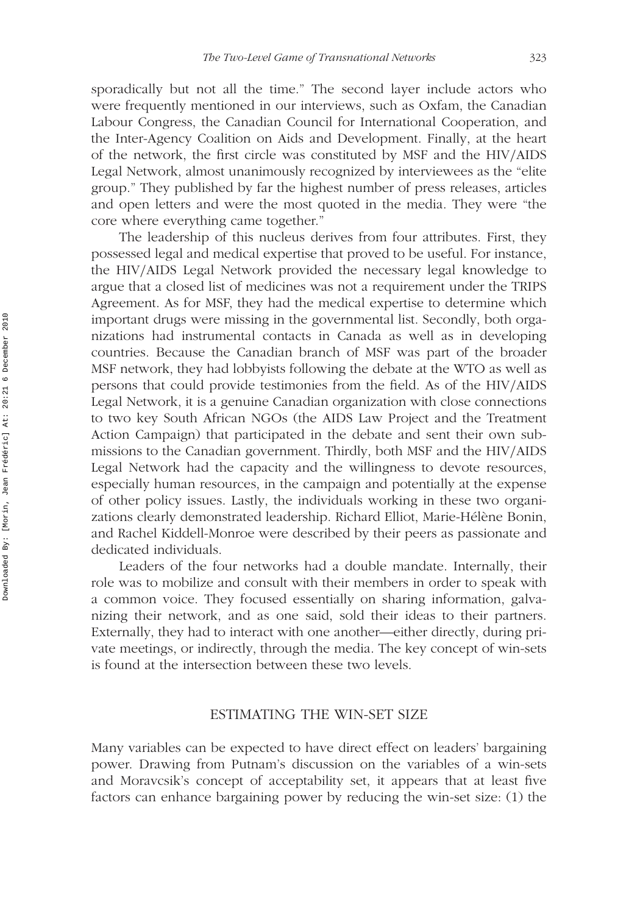sporadically but not all the time." The second layer include actors who were frequently mentioned in our interviews, such as Oxfam, the Canadian Labour Congress, the Canadian Council for International Cooperation, and the Inter-Agency Coalition on Aids and Development. Finally, at the heart of the network, the first circle was constituted by MSF and the HIV/AIDS Legal Network, almost unanimously recognized by interviewees as the "elite group." They published by far the highest number of press releases, articles and open letters and were the most quoted in the media. They were "the core where everything came together."

The leadership of this nucleus derives from four attributes. First, they possessed legal and medical expertise that proved to be useful. For instance, the HIV/AIDS Legal Network provided the necessary legal knowledge to argue that a closed list of medicines was not a requirement under the TRIPS Agreement. As for MSF, they had the medical expertise to determine which important drugs were missing in the governmental list. Secondly, both organizations had instrumental contacts in Canada as well as in developing countries. Because the Canadian branch of MSF was part of the broader MSF network, they had lobbyists following the debate at the WTO as well as persons that could provide testimonies from the field. As of the HIV/AIDS Legal Network, it is a genuine Canadian organization with close connections to two key South African NGOs (the AIDS Law Project and the Treatment Action Campaign) that participated in the debate and sent their own submissions to the Canadian government. Thirdly, both MSF and the HIV/AIDS Legal Network had the capacity and the willingness to devote resources, especially human resources, in the campaign and potentially at the expense of other policy issues. Lastly, the individuals working in these two organizations clearly demonstrated leadership. Richard Elliot, Marie-Hélène Bonin, and Rachel Kiddell-Monroe were described by their peers as passionate and dedicated individuals.

Leaders of the four networks had a double mandate. Internally, their role was to mobilize and consult with their members in order to speak with a common voice. They focused essentially on sharing information, galvanizing their network, and as one said, sold their ideas to their partners. Externally, they had to interact with one another—either directly, during private meetings, or indirectly, through the media. The key concept of win-sets is found at the intersection between these two levels.

#### ESTIMATING THE WIN-SET SIZE

Many variables can be expected to have direct effect on leaders' bargaining power. Drawing from Putnam's discussion on the variables of a win-sets and Moravcsik's concept of acceptability set, it appears that at least five factors can enhance bargaining power by reducing the win-set size: (1) the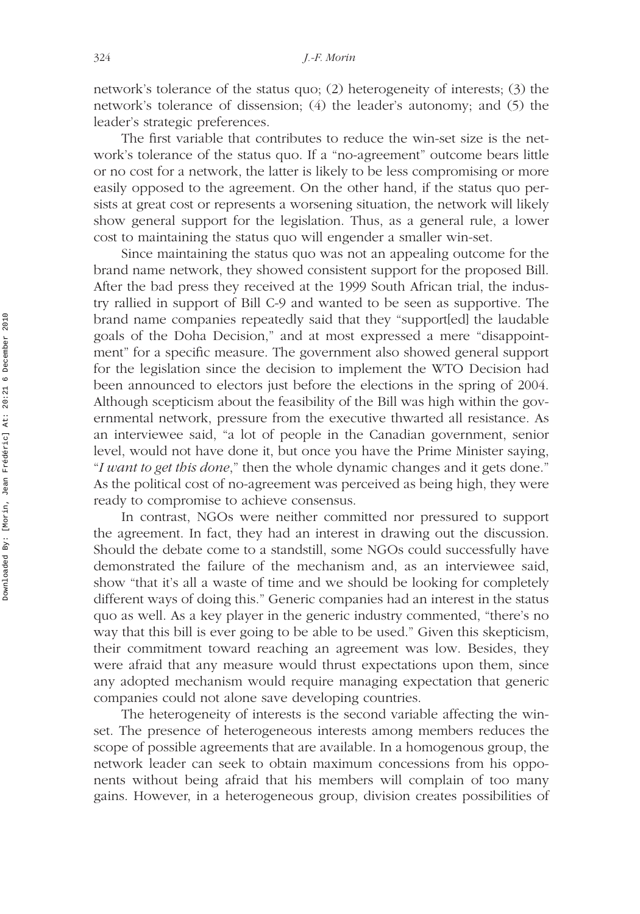network's tolerance of the status quo; (2) heterogeneity of interests; (3) the network's tolerance of dissension; (4) the leader's autonomy; and (5) the leader's strategic preferences.

The first variable that contributes to reduce the win-set size is the network's tolerance of the status quo. If a "no-agreement" outcome bears little or no cost for a network, the latter is likely to be less compromising or more easily opposed to the agreement. On the other hand, if the status quo persists at great cost or represents a worsening situation, the network will likely show general support for the legislation. Thus, as a general rule, a lower cost to maintaining the status quo will engender a smaller win-set.

Since maintaining the status quo was not an appealing outcome for the brand name network, they showed consistent support for the proposed Bill. After the bad press they received at the 1999 South African trial, the industry rallied in support of Bill C-9 and wanted to be seen as supportive. The brand name companies repeatedly said that they "support[ed] the laudable goals of the Doha Decision," and at most expressed a mere "disappointment" for a specific measure. The government also showed general support for the legislation since the decision to implement the WTO Decision had been announced to electors just before the elections in the spring of 2004. Although scepticism about the feasibility of the Bill was high within the governmental network, pressure from the executive thwarted all resistance. As an interviewee said, "a lot of people in the Canadian government, senior level, would not have done it, but once you have the Prime Minister saying, "*I want to get this done*," then the whole dynamic changes and it gets done." As the political cost of no-agreement was perceived as being high, they were ready to compromise to achieve consensus.

In contrast, NGOs were neither committed nor pressured to support the agreement. In fact, they had an interest in drawing out the discussion. Should the debate come to a standstill, some NGOs could successfully have demonstrated the failure of the mechanism and, as an interviewee said, show "that it's all a waste of time and we should be looking for completely different ways of doing this." Generic companies had an interest in the status quo as well. As a key player in the generic industry commented, "there's no way that this bill is ever going to be able to be used." Given this skepticism, their commitment toward reaching an agreement was low. Besides, they were afraid that any measure would thrust expectations upon them, since any adopted mechanism would require managing expectation that generic companies could not alone save developing countries.

The heterogeneity of interests is the second variable affecting the winset. The presence of heterogeneous interests among members reduces the scope of possible agreements that are available. In a homogenous group, the network leader can seek to obtain maximum concessions from his opponents without being afraid that his members will complain of too many gains. However, in a heterogeneous group, division creates possibilities of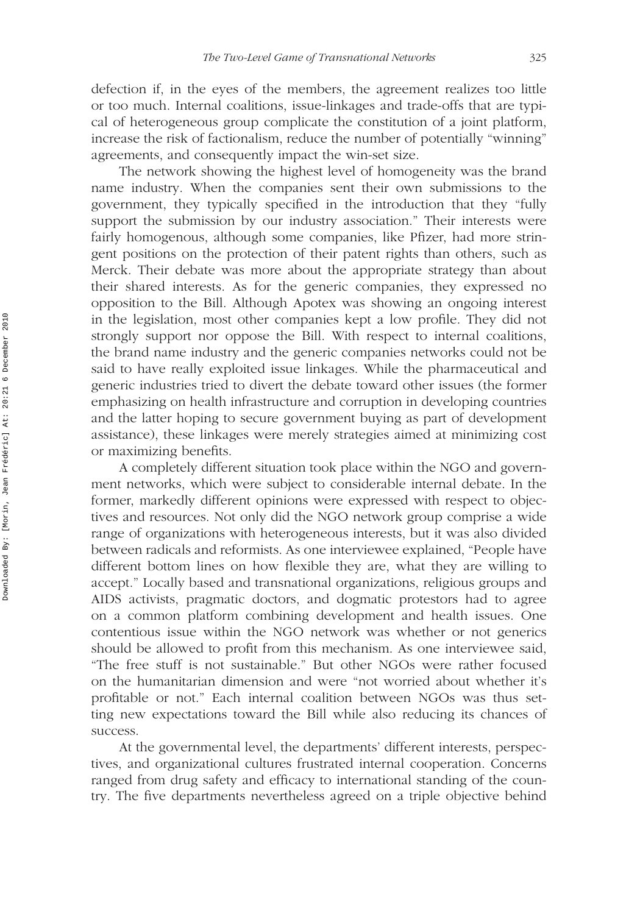defection if, in the eyes of the members, the agreement realizes too little or too much. Internal coalitions, issue-linkages and trade-offs that are typical of heterogeneous group complicate the constitution of a joint platform, increase the risk of factionalism, reduce the number of potentially "winning" agreements, and consequently impact the win-set size.

The network showing the highest level of homogeneity was the brand name industry. When the companies sent their own submissions to the government, they typically specified in the introduction that they "fully support the submission by our industry association." Their interests were fairly homogenous, although some companies, like Pfizer, had more stringent positions on the protection of their patent rights than others, such as Merck. Their debate was more about the appropriate strategy than about their shared interests. As for the generic companies, they expressed no opposition to the Bill. Although Apotex was showing an ongoing interest in the legislation, most other companies kept a low profile. They did not strongly support nor oppose the Bill. With respect to internal coalitions, the brand name industry and the generic companies networks could not be said to have really exploited issue linkages. While the pharmaceutical and generic industries tried to divert the debate toward other issues (the former emphasizing on health infrastructure and corruption in developing countries and the latter hoping to secure government buying as part of development assistance), these linkages were merely strategies aimed at minimizing cost or maximizing benefits.

A completely different situation took place within the NGO and government networks, which were subject to considerable internal debate. In the former, markedly different opinions were expressed with respect to objectives and resources. Not only did the NGO network group comprise a wide range of organizations with heterogeneous interests, but it was also divided between radicals and reformists. As one interviewee explained, "People have different bottom lines on how flexible they are, what they are willing to accept." Locally based and transnational organizations, religious groups and AIDS activists, pragmatic doctors, and dogmatic protestors had to agree on a common platform combining development and health issues. One contentious issue within the NGO network was whether or not generics should be allowed to profit from this mechanism. As one interviewee said, "The free stuff is not sustainable." But other NGOs were rather focused on the humanitarian dimension and were "not worried about whether it's profitable or not." Each internal coalition between NGOs was thus setting new expectations toward the Bill while also reducing its chances of success.

At the governmental level, the departments' different interests, perspectives, and organizational cultures frustrated internal cooperation. Concerns ranged from drug safety and efficacy to international standing of the country. The five departments nevertheless agreed on a triple objective behind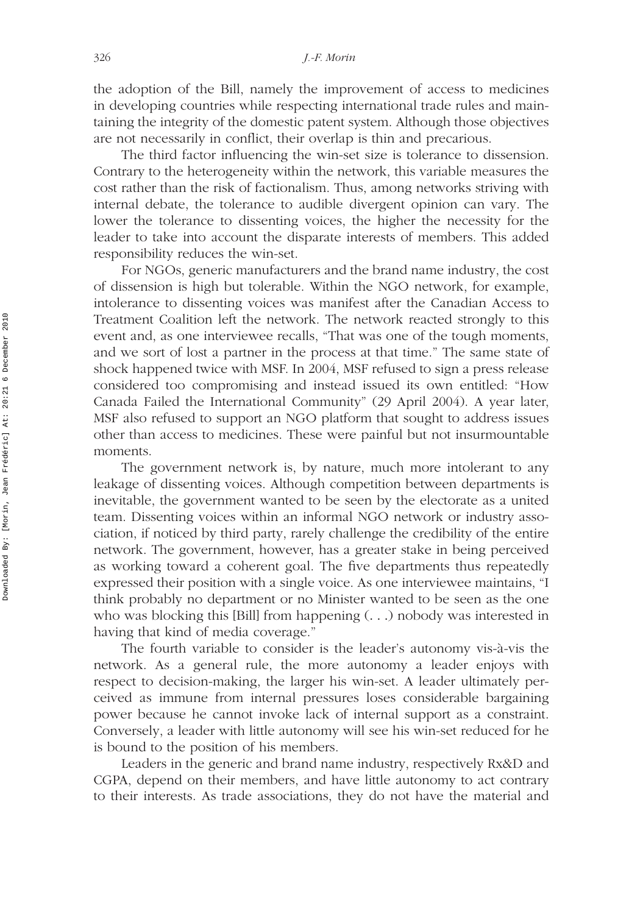the adoption of the Bill, namely the improvement of access to medicines in developing countries while respecting international trade rules and maintaining the integrity of the domestic patent system. Although those objectives are not necessarily in conflict, their overlap is thin and precarious.

The third factor influencing the win-set size is tolerance to dissension. Contrary to the heterogeneity within the network, this variable measures the cost rather than the risk of factionalism. Thus, among networks striving with internal debate, the tolerance to audible divergent opinion can vary. The lower the tolerance to dissenting voices, the higher the necessity for the leader to take into account the disparate interests of members. This added responsibility reduces the win-set.

For NGOs, generic manufacturers and the brand name industry, the cost of dissension is high but tolerable. Within the NGO network, for example, intolerance to dissenting voices was manifest after the Canadian Access to Treatment Coalition left the network. The network reacted strongly to this event and, as one interviewee recalls, "That was one of the tough moments, and we sort of lost a partner in the process at that time." The same state of shock happened twice with MSF. In 2004, MSF refused to sign a press release considered too compromising and instead issued its own entitled: "How Canada Failed the International Community" (29 April 2004). A year later, MSF also refused to support an NGO platform that sought to address issues other than access to medicines. These were painful but not insurmountable moments.

The government network is, by nature, much more intolerant to any leakage of dissenting voices. Although competition between departments is inevitable, the government wanted to be seen by the electorate as a united team. Dissenting voices within an informal NGO network or industry association, if noticed by third party, rarely challenge the credibility of the entire network. The government, however, has a greater stake in being perceived as working toward a coherent goal. The five departments thus repeatedly expressed their position with a single voice. As one interviewee maintains, "I think probably no department or no Minister wanted to be seen as the one who was blocking this [Bill] from happening (...) nobody was interested in having that kind of media coverage."

The fourth variable to consider is the leader's autonomy vis-à-vis the network. As a general rule, the more autonomy a leader enjoys with respect to decision-making, the larger his win-set. A leader ultimately perceived as immune from internal pressures loses considerable bargaining power because he cannot invoke lack of internal support as a constraint. Conversely, a leader with little autonomy will see his win-set reduced for he is bound to the position of his members.

Leaders in the generic and brand name industry, respectively Rx&D and CGPA, depend on their members, and have little autonomy to act contrary to their interests. As trade associations, they do not have the material and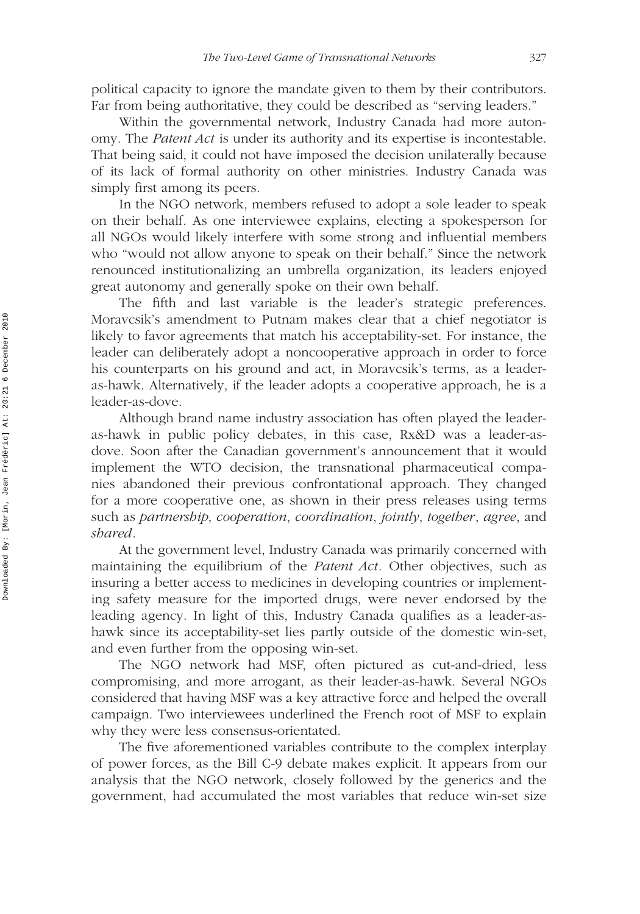political capacity to ignore the mandate given to them by their contributors. Far from being authoritative, they could be described as "serving leaders."

Within the governmental network, Industry Canada had more autonomy. The *Patent Act* is under its authority and its expertise is incontestable. That being said, it could not have imposed the decision unilaterally because of its lack of formal authority on other ministries. Industry Canada was simply first among its peers.

In the NGO network, members refused to adopt a sole leader to speak on their behalf. As one interviewee explains, electing a spokesperson for all NGOs would likely interfere with some strong and influential members who "would not allow anyone to speak on their behalf." Since the network renounced institutionalizing an umbrella organization, its leaders enjoyed great autonomy and generally spoke on their own behalf.

The fifth and last variable is the leader's strategic preferences. Moravcsik's amendment to Putnam makes clear that a chief negotiator is likely to favor agreements that match his acceptability-set. For instance, the leader can deliberately adopt a noncooperative approach in order to force his counterparts on his ground and act, in Moravcsik's terms, as a leaderas-hawk. Alternatively, if the leader adopts a cooperative approach, he is a leader-as-dove.

Although brand name industry association has often played the leaderas-hawk in public policy debates, in this case, Rx&D was a leader-asdove. Soon after the Canadian government's announcement that it would implement the WTO decision, the transnational pharmaceutical companies abandoned their previous confrontational approach. They changed for a more cooperative one, as shown in their press releases using terms such as *partnership*, *cooperation*, *coordination*, *jointly*, *together*, *agree*, and *shared*.

At the government level, Industry Canada was primarily concerned with maintaining the equilibrium of the *Patent Act*. Other objectives, such as insuring a better access to medicines in developing countries or implementing safety measure for the imported drugs, were never endorsed by the leading agency. In light of this, Industry Canada qualifies as a leader-ashawk since its acceptability-set lies partly outside of the domestic win-set, and even further from the opposing win-set.

The NGO network had MSF, often pictured as cut-and-dried, less compromising, and more arrogant, as their leader-as-hawk. Several NGOs considered that having MSF was a key attractive force and helped the overall campaign. Two interviewees underlined the French root of MSF to explain why they were less consensus-orientated.

The five aforementioned variables contribute to the complex interplay of power forces, as the Bill C-9 debate makes explicit. It appears from our analysis that the NGO network, closely followed by the generics and the government, had accumulated the most variables that reduce win-set size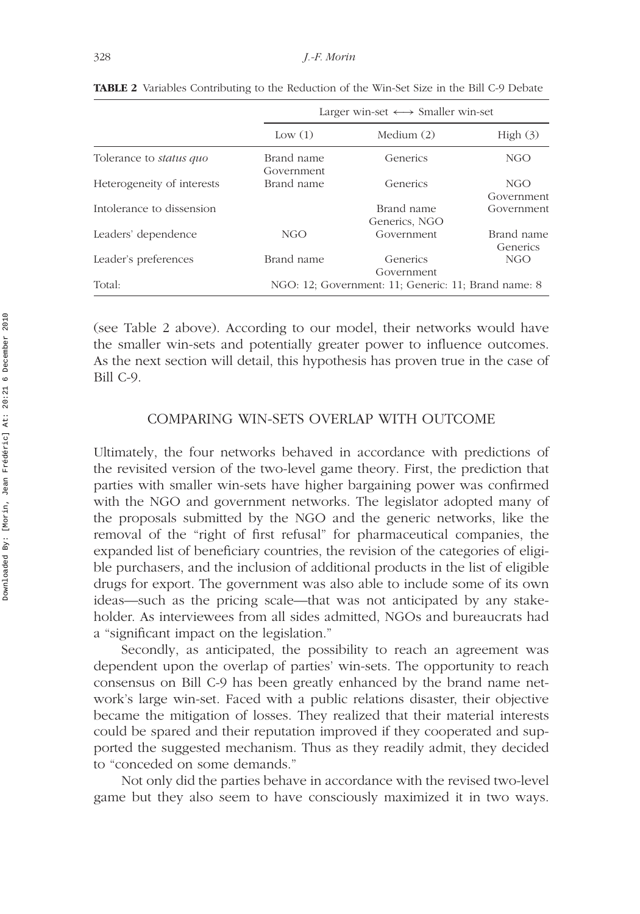|                                |                          | Larger win-set $\longleftrightarrow$ Smaller win-set |                        |  |
|--------------------------------|--------------------------|------------------------------------------------------|------------------------|--|
|                                | Low(1)                   | Medium $(2)$                                         | High $(3)$             |  |
| Tolerance to <i>status quo</i> | Brand name<br>Government | Generics                                             | NGO                    |  |
| Heterogeneity of interests     | Brand name               | Generics                                             | NGO<br>Government      |  |
| Intolerance to dissension      |                          | Brand name<br>Generics, NGO                          | Government             |  |
| Leaders' dependence            | NGO                      | Government                                           | Brand name<br>Generics |  |
| Leader's preferences           | Brand name               | Generics<br>Government                               | NGO                    |  |
| Total:                         |                          | NGO: 12; Government: 11; Generic: 11; Brand name: 8  |                        |  |

**TABLE 2** Variables Contributing to the Reduction of the Win-Set Size in the Bill C-9 Debate

(see Table 2 above). According to our model, their networks would have the smaller win-sets and potentially greater power to influence outcomes. As the next section will detail, this hypothesis has proven true in the case of Bill C-9.

## COMPARING WIN-SETS OVERLAP WITH OUTCOME

Ultimately, the four networks behaved in accordance with predictions of the revisited version of the two-level game theory. First, the prediction that parties with smaller win-sets have higher bargaining power was confirmed with the NGO and government networks. The legislator adopted many of the proposals submitted by the NGO and the generic networks, like the removal of the "right of first refusal" for pharmaceutical companies, the expanded list of beneficiary countries, the revision of the categories of eligible purchasers, and the inclusion of additional products in the list of eligible drugs for export. The government was also able to include some of its own ideas—such as the pricing scale—that was not anticipated by any stakeholder. As interviewees from all sides admitted, NGOs and bureaucrats had a "significant impact on the legislation."

Secondly, as anticipated, the possibility to reach an agreement was dependent upon the overlap of parties' win-sets. The opportunity to reach consensus on Bill C-9 has been greatly enhanced by the brand name network's large win-set. Faced with a public relations disaster, their objective became the mitigation of losses. They realized that their material interests could be spared and their reputation improved if they cooperated and supported the suggested mechanism. Thus as they readily admit, they decided to "conceded on some demands."

Not only did the parties behave in accordance with the revised two-level game but they also seem to have consciously maximized it in two ways.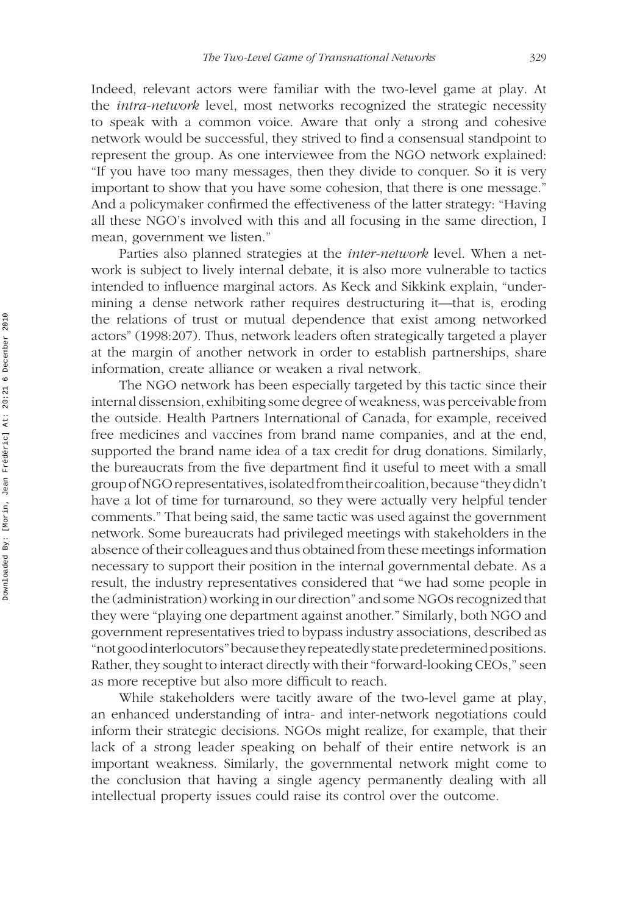Indeed, relevant actors were familiar with the two-level game at play. At the *intra-network* level, most networks recognized the strategic necessity to speak with a common voice. Aware that only a strong and cohesive network would be successful, they strived to find a consensual standpoint to represent the group. As one interviewee from the NGO network explained: "If you have too many messages, then they divide to conquer. So it is very important to show that you have some cohesion, that there is one message." And a policymaker confirmed the effectiveness of the latter strategy: "Having all these NGO's involved with this and all focusing in the same direction, I mean, government we listen."

Parties also planned strategies at the *inter-network* level. When a network is subject to lively internal debate, it is also more vulnerable to tactics intended to influence marginal actors. As Keck and Sikkink explain, "undermining a dense network rather requires destructuring it—that is, eroding the relations of trust or mutual dependence that exist among networked actors" (1998:207). Thus, network leaders often strategically targeted a player at the margin of another network in order to establish partnerships, share information, create alliance or weaken a rival network.

The NGO network has been especially targeted by this tactic since their internal dissension, exhibiting some degree of weakness, was perceivable from the outside. Health Partners International of Canada, for example, received free medicines and vaccines from brand name companies, and at the end, supported the brand name idea of a tax credit for drug donations. Similarly, the bureaucrats from the five department find it useful to meet with a small groupofNGO representatives,isolated fromtheircoalition,because "theydidn't have a lot of time for turnaround, so they were actually very helpful tender comments." That being said, the same tactic was used against the government network. Some bureaucrats had privileged meetings with stakeholders in the absence of their colleagues and thus obtained from these meetings information necessary to support their position in the internal governmental debate. As a result, the industry representatives considered that "we had some people in the (administration) working in our direction" and some NGOs recognized that they were "playing one department against another." Similarly, both NGO and government representatives tried to bypass industry associations, described as "notgoodinterlocutors"becausethey repeatedly statepredeterminedpositions. Rather, they sought to interact directly with their "forward-looking CEOs," seen as more receptive but also more difficult to reach.

While stakeholders were tacitly aware of the two-level game at play, an enhanced understanding of intra- and inter-network negotiations could inform their strategic decisions. NGOs might realize, for example, that their lack of a strong leader speaking on behalf of their entire network is an important weakness. Similarly, the governmental network might come to the conclusion that having a single agency permanently dealing with all intellectual property issues could raise its control over the outcome.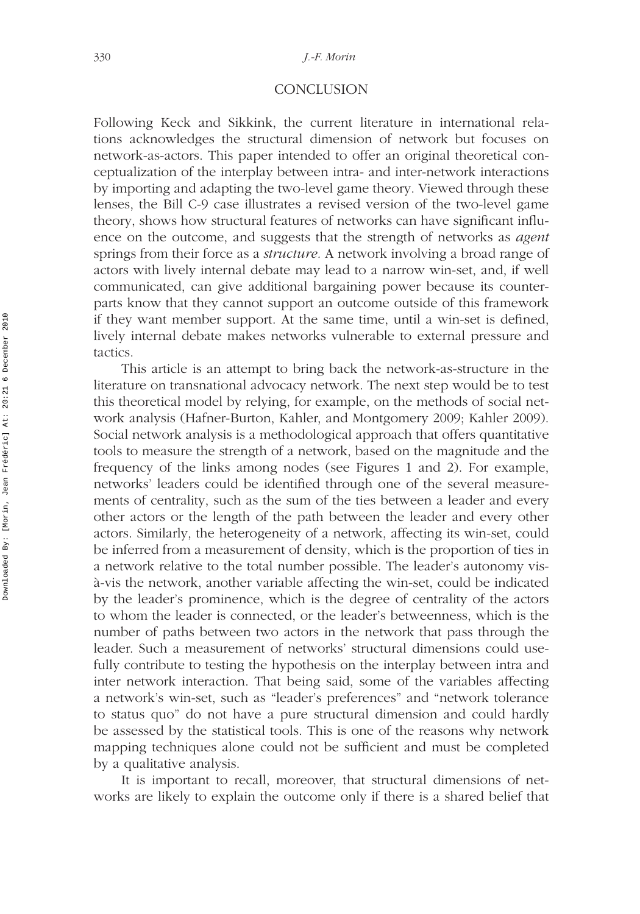## **CONCLUSION**

Following Keck and Sikkink, the current literature in international relations acknowledges the structural dimension of network but focuses on network-as-actors. This paper intended to offer an original theoretical conceptualization of the interplay between intra- and inter-network interactions by importing and adapting the two-level game theory. Viewed through these lenses, the Bill C-9 case illustrates a revised version of the two-level game theory, shows how structural features of networks can have significant influence on the outcome, and suggests that the strength of networks as *agent* springs from their force as a *structure.* A network involving a broad range of actors with lively internal debate may lead to a narrow win-set, and, if well communicated, can give additional bargaining power because its counterparts know that they cannot support an outcome outside of this framework if they want member support. At the same time, until a win-set is defined, lively internal debate makes networks vulnerable to external pressure and tactics.

This article is an attempt to bring back the network-as-structure in the literature on transnational advocacy network. The next step would be to test this theoretical model by relying, for example, on the methods of social network analysis (Hafner-Burton, Kahler, and Montgomery 2009; Kahler 2009). Social network analysis is a methodological approach that offers quantitative tools to measure the strength of a network, based on the magnitude and the frequency of the links among nodes (see Figures 1 and 2). For example, networks' leaders could be identified through one of the several measurements of centrality, such as the sum of the ties between a leader and every other actors or the length of the path between the leader and every other actors. Similarly, the heterogeneity of a network, affecting its win-set, could be inferred from a measurement of density, which is the proportion of ties in a network relative to the total number possible. The leader's autonomy visà-vis the network, another variable affecting the win-set, could be indicated by the leader's prominence, which is the degree of centrality of the actors to whom the leader is connected, or the leader's betweenness, which is the number of paths between two actors in the network that pass through the leader. Such a measurement of networks' structural dimensions could usefully contribute to testing the hypothesis on the interplay between intra and inter network interaction. That being said, some of the variables affecting a network's win-set, such as "leader's preferences" and "network tolerance to status quo" do not have a pure structural dimension and could hardly be assessed by the statistical tools. This is one of the reasons why network mapping techniques alone could not be sufficient and must be completed by a qualitative analysis.

It is important to recall, moreover, that structural dimensions of networks are likely to explain the outcome only if there is a shared belief that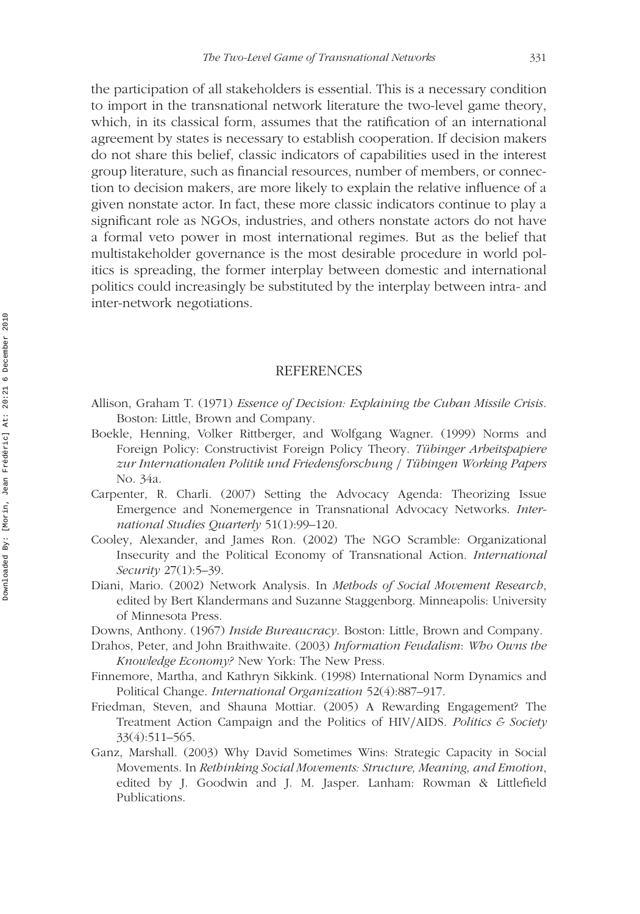the participation of all stakeholders is essential. This is a necessary condition to import in the transnational network literature the two-level game theory, which, in its classical form, assumes that the ratification of an international agreement by states is necessary to establish cooperation. If decision makers do not share this belief, classic indicators of capabilities used in the interest group literature, such as financial resources, number of members, or connection to decision makers, are more likely to explain the relative influence of a given nonstate actor. In fact, these more classic indicators continue to play a significant role as NGOs, industries, and others nonstate actors do not have a formal veto power in most international regimes. But as the belief that multistakeholder governance is the most desirable procedure in world politics is spreading, the former interplay between domestic and international politics could increasingly be substituted by the interplay between intra- and inter-network negotiations.

#### **REFERENCES**

- Allison, Graham T. (1971) *Essence of Decision: Explaining the Cuban Missile Crisis*. Boston: Little, Brown and Company.
- Boekle, Henning, Volker Rittberger, and Wolfgang Wagner. (1999) Norms and Foreign Policy: Constructivist Foreign Policy Theory. *Tübinger Arbeitspapiere zur Internationalen Politik und Friedensforschung* / *Tübingen Working Papers* No. 34a.
- Carpenter, R. Charli. (2007) Setting the Advocacy Agenda: Theorizing Issue Emergence and Nonemergence in Transnational Advocacy Networks. *International Studies Quarterly* 51(1):99–120.
- Cooley, Alexander, and James Ron. (2002) The NGO Scramble: Organizational Insecurity and the Political Economy of Transnational Action. *International Security* 27(1):5–39.
- Diani, Mario. (2002) Network Analysis. In *Methods of Social Movement Research*, edited by Bert Klandermans and Suzanne Staggenborg. Minneapolis: University of Minnesota Press.
- Downs, Anthony. (1967) *Inside Bureaucracy*. Boston: Little, Brown and Company.
- Drahos, Peter, and John Braithwaite. (2003) *Information Feudalism*: *Who Owns the Knowledge Economy?* New York: The New Press.
- Finnemore, Martha, and Kathryn Sikkink. (1998) International Norm Dynamics and Political Change. *International Organization* 52(4):887–917.
- Friedman, Steven, and Shauna Mottiar. (2005) A Rewarding Engagement? The Treatment Action Campaign and the Politics of HIV/AIDS. *Politics & Society* 33(4):511–565.
- Ganz, Marshall. (2003) Why David Sometimes Wins: Strategic Capacity in Social Movements. In *Rethinking Social Movements: Structure, Meaning, and Emotion*, edited by J. Goodwin and J. M. Jasper. Lanham: Rowman & Littlefield Publications.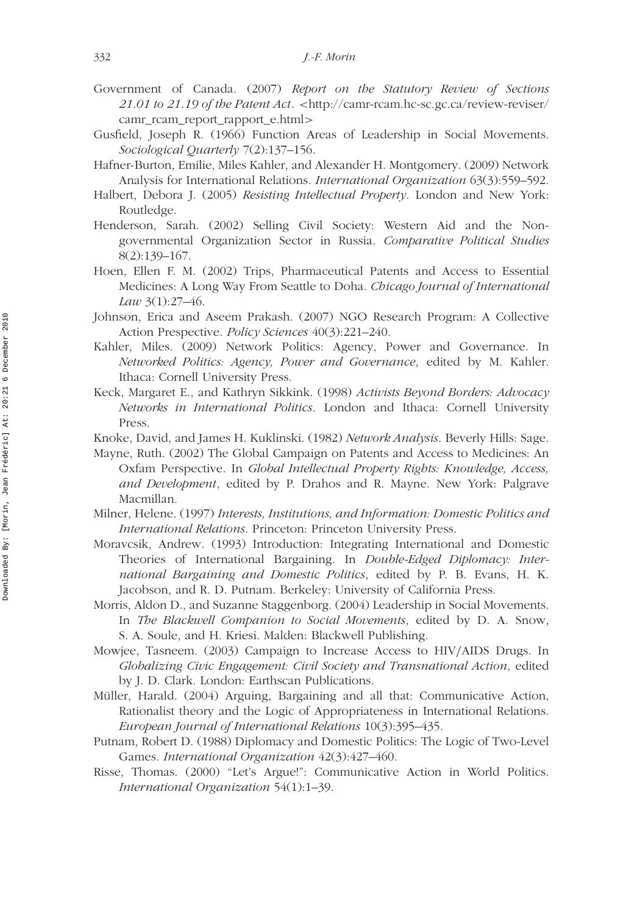- Government of Canada. (2007) *Report on the Statutory Review of Sections 21.01 to 21.19 of the Patent Act*. <http://camr-rcam.hc-sc.gc.ca/review-reviser/ camr\_rcam\_report\_rapport\_e.html>
- Gusfield, Joseph R. (1966) Function Areas of Leadership in Social Movements. *Sociological Quarterly* 7(2):137–156.
- Hafner-Burton, Emilie, Miles Kahler, and Alexander H. Montgomery. (2009) Network Analysis for International Relations. *International Organization* 63(3):559–592.
- Halbert, Debora J. (2005) *Resisting Intellectual Property*. London and New York: Routledge.
- Henderson, Sarah. (2002) Selling Civil Society: Western Aid and the Nongovernmental Organization Sector in Russia. *Comparative Political Studies* 8(2):139–167.
- Hoen, Ellen F. M. (2002) Trips, Pharmaceutical Patents and Access to Essential Medicines: A Long Way From Seattle to Doha. *Chicago Journal of International Law* 3(1):27–46.
- Johnson, Erica and Aseem Prakash. (2007) NGO Research Program: A Collective Action Prespective. *Policy Sciences* 40(3):221–240.
- Kahler, Miles. (2009) Network Politics: Agency, Power and Governance. In *Networked Politics: Agency, Power and Governance*, edited by M. Kahler. Ithaca: Cornell University Press.
- Keck, Margaret E., and Kathryn Sikkink. (1998) *Activists Beyond Borders: Advocacy Networks in International Politics*. London and Ithaca: Cornell University Press.
- Knoke, David, and James H. Kuklinski. (1982) *Network Analysis*. Beverly Hills: Sage.
- Mayne, Ruth. (2002) The Global Campaign on Patents and Access to Medicines: An Oxfam Perspective. In *Global Intellectual Property Rights: Knowledge, Access, and Development*, edited by P. Drahos and R. Mayne. New York: Palgrave Macmillan.
- Milner, Helene. (1997) *Interests, Institutions, and Information: Domestic Politics and International Relations*. Princeton: Princeton University Press.
- Moravcsik, Andrew. (1993) Introduction: Integrating International and Domestic Theories of International Bargaining. In *Double-Edged Diplomacy: International Bargaining and Domestic Politics*, edited by P. B. Evans, H. K. Jacobson, and R. D. Putnam. Berkeley: University of California Press.
- Morris, Aldon D., and Suzanne Staggenborg. (2004) Leadership in Social Movements. In *The Blackwell Companion to Social Movements*, edited by D. A. Snow, S. A. Soule, and H. Kriesi. Malden: Blackwell Publishing.
- Mowjee, Tasneem. (2003) Campaign to Increase Access to HIV/AIDS Drugs. In *Globalizing Civic Engagement: Civil Society and Transnational Action*, edited by J. D. Clark. London: Earthscan Publications.
- Müller, Harald. (2004) Arguing, Bargaining and all that: Communicative Action, Rationalist theory and the Logic of Appropriateness in International Relations. *European Journal of International Relations* 10(3):395–435.
- Putnam, Robert D. (1988) Diplomacy and Domestic Politics: The Logic of Two-Level Games. *International Organization* 42(3):427–460.
- Risse, Thomas. (2000) "Let's Argue!": Communicative Action in World Politics. *International Organization* 54(1):1–39.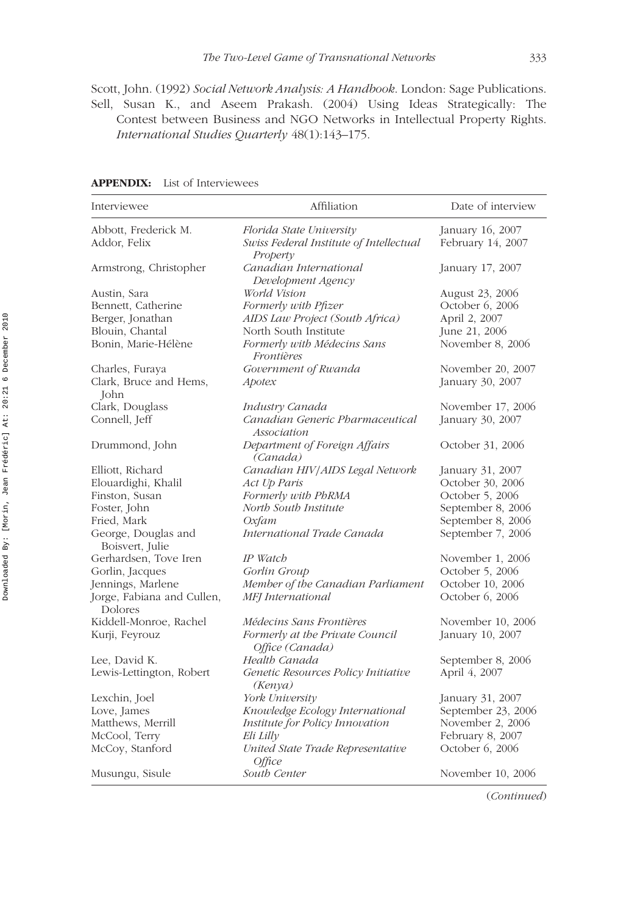Scott, John. (1992) *Social Network Analysis: A Handbook*. London: Sage Publications. Sell, Susan K., and Aseem Prakash. (2004) Using Ideas Strategically: The Contest between Business and NGO Networks in Intellectual Property Rights. *International Studies Quarterly* 48(1):143–175.

| Interviewee                                                                                      | Affiliation                                                                                                                     | Date of interview                                                                        |
|--------------------------------------------------------------------------------------------------|---------------------------------------------------------------------------------------------------------------------------------|------------------------------------------------------------------------------------------|
| Abbott, Frederick M.<br>Addor, Felix                                                             | Florida State University<br>Swiss Federal Institute of Intellectual<br>Property                                                 | January 16, 2007<br>February 14, 2007                                                    |
| Armstrong, Christopher                                                                           | Canadian International<br>Development Agency                                                                                    | January 17, 2007                                                                         |
| Austin, Sara<br>Bennett, Catherine<br>Berger, Jonathan<br>Blouin, Chantal<br>Bonin, Marie-Hélène | World Vision<br>Formerly with Pfizer<br>AIDS Law Project (South Africa)<br>North South Institute<br>Formerly with Médecins Sans | August 23, 2006<br>October 6, 2006<br>April 2, 2007<br>June 21, 2006<br>November 8, 2006 |
| Charles, Furaya<br>Clark, Bruce and Hems,<br>John                                                | Frontières<br>Government of Rwanda<br><i>Apotex</i>                                                                             | November 20, 2007<br>January 30, 2007                                                    |
| Clark, Douglass<br>Connell, Jeff                                                                 | Industry Canada<br>Canadian Generic Pharmaceutical<br>Association                                                               | November 17, 2006<br>January 30, 2007                                                    |
| Drummond, John                                                                                   | Department of Foreign Affairs<br>(Canada)                                                                                       | October 31, 2006                                                                         |
| Elliott, Richard<br>Elouardighi, Khalil<br>Finston, Susan                                        | Canadian HIV/AIDS Legal Network<br>Act Up Paris<br>Formerly with PhRMA                                                          | January 31, 2007<br>October 30, 2006<br>October 5, 2006                                  |
| Foster, John<br>Fried, Mark                                                                      | North South Institute<br>$Ox$ fam                                                                                               | September 8, 2006<br>September 8, 2006                                                   |
| George, Douglas and<br>Boisvert, Julie                                                           | International Trade Canada                                                                                                      | September 7, 2006                                                                        |
| Gerhardsen, Tove Iren<br>Gorlin, Jacques<br>Jennings, Marlene                                    | IP Watch<br>Gorlin Group<br>Member of the Canadian Parliament                                                                   | November 1, 2006<br>October 5, 2006<br>October 10, 2006                                  |
| Jorge, Fabiana and Cullen,<br>Dolores                                                            | MFJ International                                                                                                               | October 6, 2006                                                                          |
| Kiddell-Monroe, Rachel<br>Kurji, Feyrouz                                                         | Médecins Sans Frontières<br>Formerly at the Private Council<br>Office (Canada)                                                  | November 10, 2006<br>January 10, 2007                                                    |
| Lee, David K.<br>Lewis-Lettington, Robert                                                        | Health Canada<br>Genetic Resources Policy Initiative<br>(Kenya)                                                                 | September 8, 2006<br>April 4, 2007                                                       |
| Lexchin, Joel<br>Love, James<br>Matthews, Merrill<br>McCool, Terry                               | York University<br>Knowledge Ecology International<br>Institute for Policy Innovation<br>Eli Lilly                              | January 31, 2007<br>September 23, 2006<br>November 2, 2006<br>February 8, 2007           |
| McCoy, Stanford<br>Musungu, Sisule                                                               | United State Trade Representative<br><i><b>Office</b></i><br>South Center                                                       | October 6, 2006<br>November 10, 2006                                                     |

**APPENDIX:** List of Interviewees

Downloaded By: [Morin, Jean Frédéric] At: 20:21 6 December 2010

Downloaded By: [Morin, Jean Frédéric] At: 20:21 6 December 2010

(*Continued*)